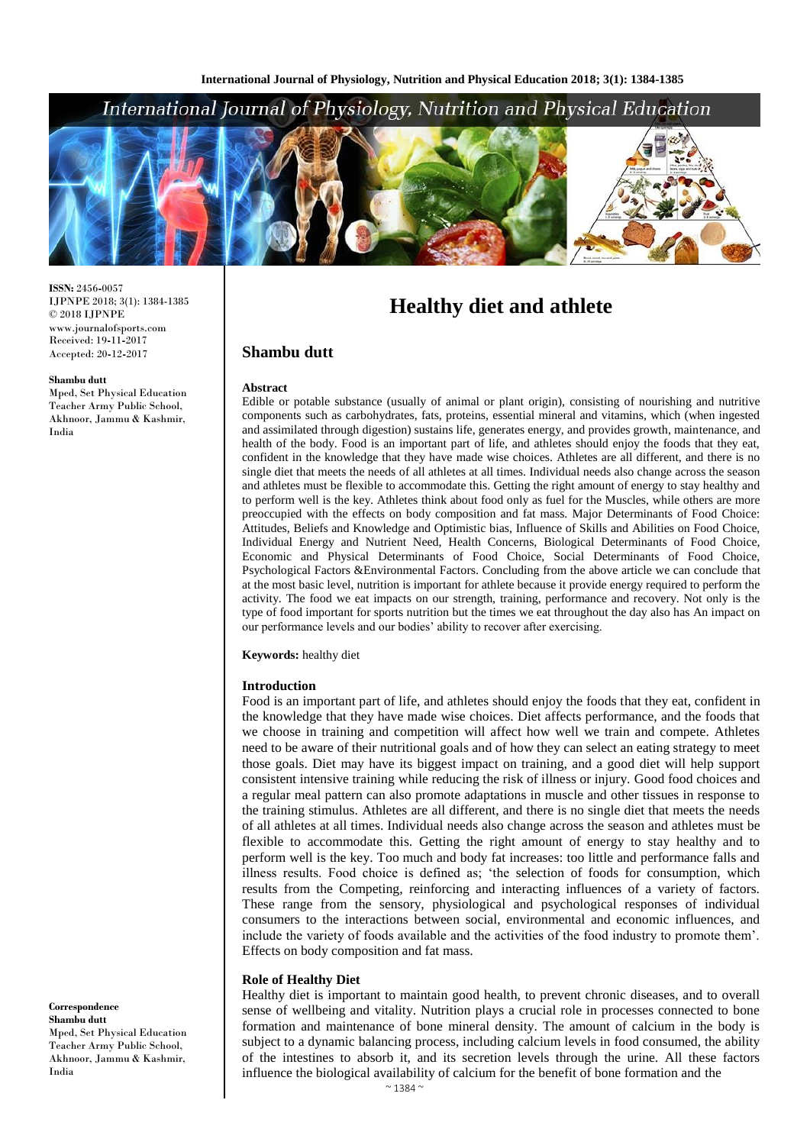# International Journal of Physiology, Nutrition and Physical Education



**ISSN:** 2456**-**0057 IJPNPE 2018; 3(1): 1384-1385  $\odot$  2018 IJPNPE www.journalofsports.com Received: 19**-**11**-**2017 Accepted: 20**-**12**-**2017

#### **Shambu dutt**

Mped, Set Physical Education Teacher Army Public School, Akhnoor, Jammu & Kashmir, India

**Healthy diet and athlete**

# **Shambu dutt**

### **Abstract**

Edible or potable substance (usually of animal or plant origin), consisting of nourishing and nutritive components such as carbohydrates, fats, proteins, essential mineral and vitamins, which (when ingested and assimilated through digestion) sustains life, generates energy, and provides growth, maintenance, and health of the body. Food is an important part of life, and athletes should enjoy the foods that they eat, confident in the knowledge that they have made wise choices. Athletes are all different, and there is no single diet that meets the needs of all athletes at all times. Individual needs also change across the season and athletes must be flexible to accommodate this. Getting the right amount of energy to stay healthy and to perform well is the key. Athletes think about food only as fuel for the Muscles, while others are more preoccupied with the effects on body composition and fat mass. Major Determinants of Food Choice: Attitudes, Beliefs and Knowledge and Optimistic bias, Influence of Skills and Abilities on Food Choice, Individual Energy and Nutrient Need, Health Concerns, Biological Determinants of Food Choice, Economic and Physical Determinants of Food Choice, Social Determinants of Food Choice, Psychological Factors &Environmental Factors. Concluding from the above article we can conclude that at the most basic level, nutrition is important for athlete because it provide energy required to perform the activity. The food we eat impacts on our strength, training, performance and recovery. Not only is the type of food important for sports nutrition but the times we eat throughout the day also has An impact on our performance levels and our bodies' ability to recover after exercising.

**Keywords:** healthy diet

#### **Introduction**

Food is an important part of life, and athletes should enjoy the foods that they eat, confident in the knowledge that they have made wise choices. Diet affects performance, and the foods that we choose in training and competition will affect how well we train and compete. Athletes need to be aware of their nutritional goals and of how they can select an eating strategy to meet those goals. Diet may have its biggest impact on training, and a good diet will help support consistent intensive training while reducing the risk of illness or injury. Good food choices and a regular meal pattern can also promote adaptations in muscle and other tissues in response to the training stimulus. Athletes are all different, and there is no single diet that meets the needs of all athletes at all times. Individual needs also change across the season and athletes must be flexible to accommodate this. Getting the right amount of energy to stay healthy and to perform well is the key. Too much and body fat increases: too little and performance falls and illness results. Food choice is defined as; 'the selection of foods for consumption, which results from the Competing, reinforcing and interacting influences of a variety of factors. These range from the sensory, physiological and psychological responses of individual consumers to the interactions between social, environmental and economic influences, and include the variety of foods available and the activities of the food industry to promote them'. Effects on body composition and fat mass.

### **Role of Healthy Diet**

Healthy diet is important to maintain good health, to prevent chronic diseases, and to overall sense of wellbeing and vitality. Nutrition plays a crucial role in processes connected to bone formation and maintenance of bone mineral density. The amount of calcium in the body is subject to a dynamic balancing process, including calcium levels in food consumed, the ability of the intestines to absorb it, and its secretion levels through the urine. All these factors influence the biological availability of calcium for the benefit of bone formation and the

**Correspondence Shambu dutt** Mped, Set Physical Education Teacher Army Public School, Akhnoor, Jammu & Kashmir, India